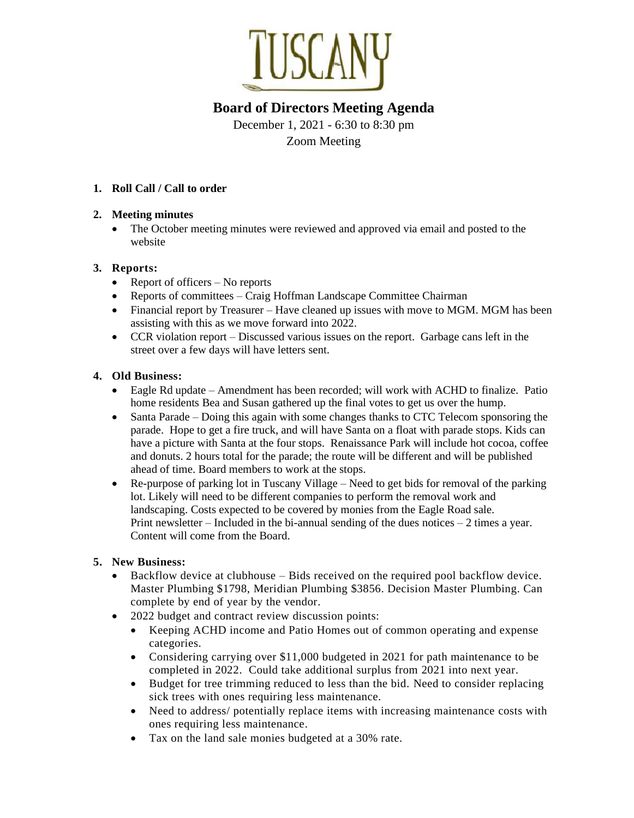

# **Board of Directors Meeting Agenda**

December 1, 2021 - 6:30 to 8:30 pm Zoom Meeting

## **1. Roll Call / Call to order**

### **2. Meeting minutes**

The October meeting minutes were reviewed and approved via email and posted to the website

## **3. Reports:**

- Report of officers No reports
- Reports of committees Craig Hoffman Landscape Committee Chairman
- Financial report by Treasurer Have cleaned up issues with move to MGM. MGM has been assisting with this as we move forward into 2022.
- CCR violation report Discussed various issues on the report. Garbage cans left in the street over a few days will have letters sent.

## **4. Old Business:**

- Eagle Rd update Amendment has been recorded; will work with ACHD to finalize. Patio home residents Bea and Susan gathered up the final votes to get us over the hump.
- Santa Parade Doing this again with some changes thanks to CTC Telecom sponsoring the parade. Hope to get a fire truck, and will have Santa on a float with parade stops. Kids can have a picture with Santa at the four stops. Renaissance Park will include hot cocoa, coffee and donuts. 2 hours total for the parade; the route will be different and will be published ahead of time. Board members to work at the stops.
- Re-purpose of parking lot in Tuscany Village Need to get bids for removal of the parking lot. Likely will need to be different companies to perform the removal work and landscaping. Costs expected to be covered by monies from the Eagle Road sale. Print newsletter – Included in the bi-annual sending of the dues notices  $-2$  times a year. Content will come from the Board.

## **5. New Business:**

- Backflow device at clubhouse Bids received on the required pool backflow device. Master Plumbing \$1798, Meridian Plumbing \$3856. Decision Master Plumbing. Can complete by end of year by the vendor.
- 2022 budget and contract review discussion points:
	- Keeping ACHD income and Patio Homes out of common operating and expense categories.
	- Considering carrying over \$11,000 budgeted in 2021 for path maintenance to be completed in 2022. Could take additional surplus from 2021 into next year.
	- Budget for tree trimming reduced to less than the bid. Need to consider replacing sick trees with ones requiring less maintenance.
	- Need to address/ potentially replace items with increasing maintenance costs with ones requiring less maintenance.
	- Tax on the land sale monies budgeted at a 30% rate.